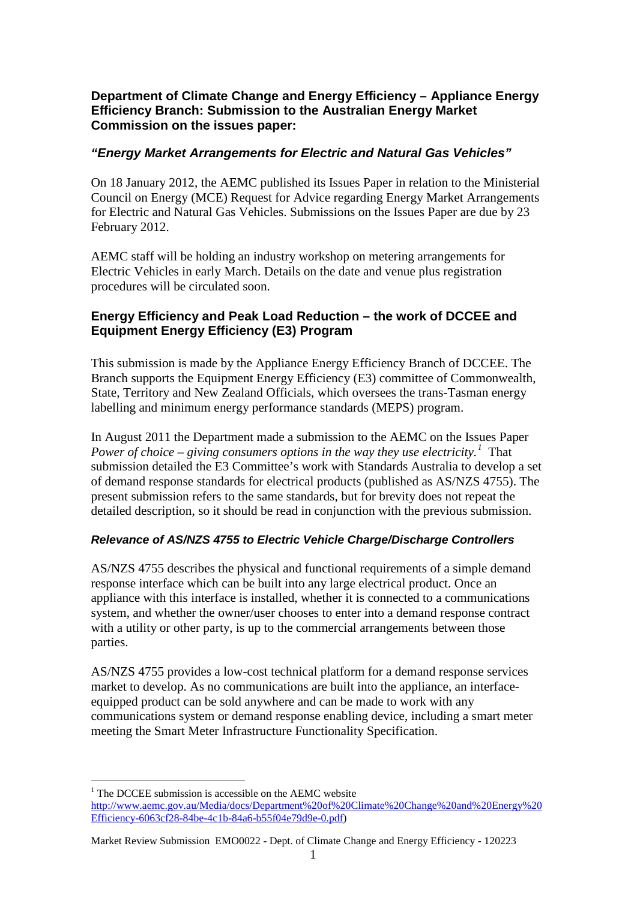## **Department of Climate Change and Energy Efficiency – Appliance Energy Efficiency Branch: Submission to the Australian Energy Market Commission on the issues paper:**

## *"Energy Market Arrangements for Electric and Natural Gas Vehicles"*

On 18 January 2012, the AEMC published its Issues Paper in relation to the Ministerial Council on Energy (MCE) Request for Advice regarding Energy Market Arrangements for Electric and Natural Gas Vehicles. Submissions on the Issues Paper are due by 23 February 2012.

AEMC staff will be holding an industry workshop on metering arrangements for Electric Vehicles in early March. Details on the date and venue plus registration procedures will be circulated soon.

## **Energy Efficiency and Peak Load Reduction – the work of DCCEE and Equipment Energy Efficiency (E3) Program**

This submission is made by the Appliance Energy Efficiency Branch of DCCEE. The Branch supports the Equipment Energy Efficiency (E3) committee of Commonwealth, State, Territory and New Zealand Officials, which oversees the trans-Tasman energy labelling and minimum energy performance standards (MEPS) program.

In August 2011 the Department made a submission to the AEMC on the Issues Paper *Power of choice – giving consumers options in the way they use electricity.*<sup>[1](#page-0-0)</sup> That submission detailed the E3 Committee's work with Standards Australia to develop a set of demand response standards for electrical products (published as AS/NZS 4755). The present submission refers to the same standards, but for brevity does not repeat the detailed description, so it should be read in conjunction with the previous submission.

## *Relevance of AS/NZS 4755 to Electric Vehicle Charge/Discharge Controllers*

AS/NZS 4755 describes the physical and functional requirements of a simple demand response interface which can be built into any large electrical product. Once an appliance with this interface is installed, whether it is connected to a communications system, and whether the owner/user chooses to enter into a demand response contract with a utility or other party, is up to the commercial arrangements between those parties.

AS/NZS 4755 provides a low-cost technical platform for a demand response services market to develop. As no communications are built into the appliance, an interfaceequipped product can be sold anywhere and can be made to work with any communications system or demand response enabling device, including a smart meter meeting the Smart Meter Infrastructure Functionality Specification.

<span id="page-0-0"></span> $1$  The DCCEE submission is accessible on the AEMC website [http://www.aemc.gov.au/Media/docs/Department%20of%20Climate%20Change%20and%20Energy%20](http://www.aemc.gov.au/Media/docs/Department%20of%20Climate%20Change%20and%20Energy%20Efficiency-6063cf28-84be-4c1b-84a6-b55f04e79d9e-0.pdf) [Efficiency-6063cf28-84be-4c1b-84a6-b55f04e79d9e-0.pdf\)](http://www.aemc.gov.au/Media/docs/Department%20of%20Climate%20Change%20and%20Energy%20Efficiency-6063cf28-84be-4c1b-84a6-b55f04e79d9e-0.pdf)